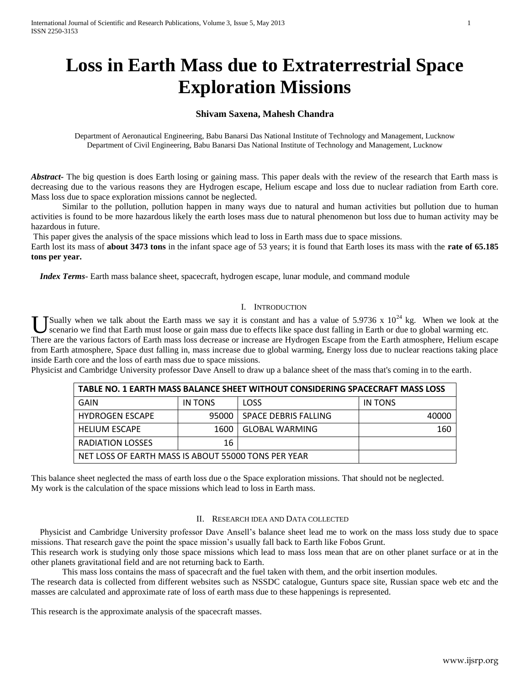# **Loss in Earth Mass due to Extraterrestrial Space Exploration Missions**

# **Shivam Saxena, Mahesh Chandra**

Department of Aeronautical Engineering, Babu Banarsi Das National Institute of Technology and Management, Lucknow Department of Civil Engineering, Babu Banarsi Das National Institute of Technology and Management, Lucknow

*Abstract* The big question is does Earth losing or gaining mass. This paper deals with the review of the research that Earth mass is decreasing due to the various reasons they are Hydrogen escape, Helium escape and loss due to nuclear radiation from Earth core. Mass loss due to space exploration missions cannot be neglected.

Similar to the pollution, pollution happen in many ways due to natural and human activities but pollution due to human activities is found to be more hazardous likely the earth loses mass due to natural phenomenon but loss due to human activity may be hazardous in future.

This paper gives the analysis of the space missions which lead to loss in Earth mass due to space missions.

Earth lost its mass of **about 3473 tons** in the infant space age of 53 years; it is found that Earth loses its mass with the **rate of 65.185 tons per year.**

 *Index Terms*- Earth mass balance sheet, spacecraft, hydrogen escape, lunar module, and command module

#### I. INTRODUCTION

Sually when we talk about the Earth mass we say it is constant and has a value of 5.9736 x  $10^{24}$  kg. When we look at the U Sually when we talk about the Earth mass we say it is constant and has a value of 5.9736 x  $10^{24}$  kg. When we look at scenario we find that Earth must loose or gain mass due to effects like space dust falling in Earth There are the various factors of Earth mass loss decrease or increase are Hydrogen Escape from the Earth atmosphere, Helium escape from Earth atmosphere, Space dust falling in, mass increase due to global warming, Energy loss due to nuclear reactions taking place inside Earth core and the loss of earth mass due to space missions.

Physicist and Cambridge University professor Dave Ansell to draw up a balance sheet of the mass that's coming in to the earth.

| TABLE NO. 1 EARTH MASS BALANCE SHEET WITHOUT CONSIDERING SPACECRAFT MASS LOSS |         |                       |         |
|-------------------------------------------------------------------------------|---------|-----------------------|---------|
| GAIN                                                                          | IN TONS | LOSS                  | IN TONS |
| <b>HYDROGEN ESCAPE</b>                                                        | 95000 ' | SPACE DEBRIS FALLING  | 40000   |
| <b>HELIUM ESCAPE</b>                                                          | 1600    | <b>GLOBAL WARMING</b> | 160     |
| RADIATION LOSSES                                                              | 16      |                       |         |
| NET LOSS OF EARTH MASS IS ABOUT 55000 TONS PER YEAR                           |         |                       |         |

This balance sheet neglected the mass of earth loss due o the Space exploration missions. That should not be neglected. My work is the calculation of the space missions which lead to loss in Earth mass.

### II. RESEARCH IDEA AND DATA COLLECTED

 Physicist and Cambridge University professor Dave Ansell's balance sheet lead me to work on the mass loss study due to space missions. That research gave the point the space mission's usually fall back to Earth like Fobos Grunt.

This research work is studying only those space missions which lead to mass loss mean that are on other planet surface or at in the other planets gravitational field and are not returning back to Earth.

This mass loss contains the mass of spacecraft and the fuel taken with them, and the orbit insertion modules.

The research data is collected from different websites such as NSSDC catalogue, Gunturs space site, Russian space web etc and the masses are calculated and approximate rate of loss of earth mass due to these happenings is represented.

This research is the approximate analysis of the spacecraft masses.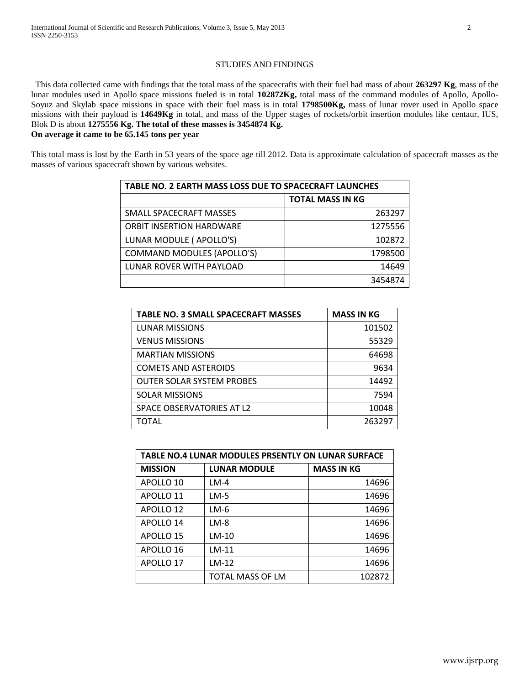## STUDIES AND FINDINGS

 This data collected came with findings that the total mass of the spacecrafts with their fuel had mass of about **263297 Kg**, mass of the lunar modules used in Apollo space missions fueled is in total **102872Kg,** total mass of the command modules of Apollo, Apollo-Soyuz and Skylab space missions in space with their fuel mass is in total **1798500Kg,** mass of lunar rover used in Apollo space missions with their payload is **14649Kg** in total, and mass of the Upper stages of rockets/orbit insertion modules like centaur, IUS, Blok D is about **1275556 Kg. The total of these masses is 3454874 Kg. On average it came to be 65.145 tons per year**

This total mass is lost by the Earth in 53 years of the space age till 2012. Data is approximate calculation of spacecraft masses as the masses of various spacecraft shown by various websites.

| TABLE NO. 2 EARTH MASS LOSS DUE TO SPACECRAFT LAUNCHES |                         |  |
|--------------------------------------------------------|-------------------------|--|
|                                                        | <b>TOTAL MASS IN KG</b> |  |
| SMALL SPACECRAFT MASSES                                | 263297                  |  |
| <b>ORBIT INSERTION HARDWARE</b>                        | 1275556                 |  |
| LUNAR MODULE ( APOLLO'S)                               | 102872                  |  |
| <b>COMMAND MODULES (APOLLO'S)</b>                      | 1798500                 |  |
| LUNAR ROVER WITH PAYLOAD                               | 14649                   |  |
|                                                        | 3454874                 |  |

| <b>TABLE NO. 3 SMALL SPACECRAFT MASSES</b> | <b>MASS IN KG</b> |
|--------------------------------------------|-------------------|
| <b>LUNAR MISSIONS</b>                      | 101502            |
| <b>VENUS MISSIONS</b>                      | 55329             |
| <b>MARTIAN MISSIONS</b>                    | 64698             |
| <b>COMETS AND ASTEROIDS</b>                | 9634              |
| <b>OUTER SOLAR SYSTEM PROBES</b>           | 14492             |
| <b>SOLAR MISSIONS</b>                      | 7594              |
| SPACE OBSERVATORIES AT L2                  | 10048             |
| TOTAL                                      | 263297            |

| TABLE NO.4 LUNAR MODULES PRSENTLY ON LUNAR SURFACE |                     |                   |  |
|----------------------------------------------------|---------------------|-------------------|--|
| <b>MISSION</b>                                     | <b>LUNAR MODULE</b> | <b>MASS IN KG</b> |  |
| APOLLO <sub>10</sub>                               | $LM-4$              | 14696             |  |
| APOLLO 11                                          | LM-5                | 14696             |  |
| APOLLO <sub>12</sub>                               | LM-6                | 14696             |  |
| APOLLO 14                                          | LM-8                | 14696             |  |
| APOLLO <sub>15</sub>                               | $LM-10$             | 14696             |  |
| APOLLO <sub>16</sub>                               | LM-11               | 14696             |  |
| APOLLO 17                                          | $LM-12$             | 14696             |  |
|                                                    | TOTAL MASS OF LM    | 102872            |  |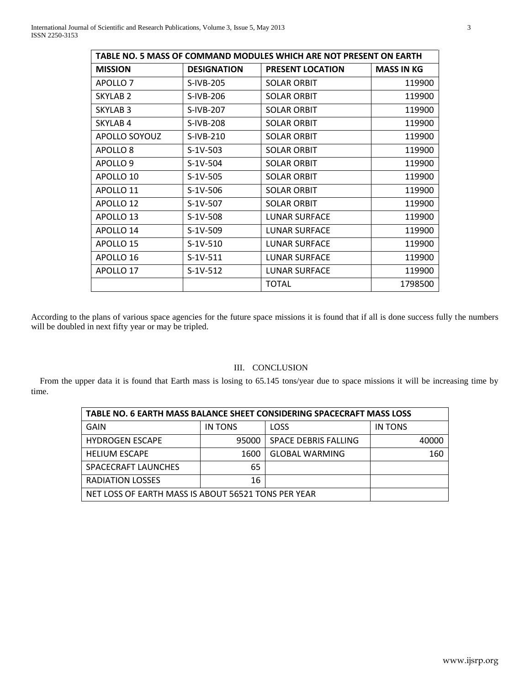| TABLE NO. 5 MASS OF COMMAND MODULES WHICH ARE NOT PRESENT ON EARTH |                    |                         |                   |
|--------------------------------------------------------------------|--------------------|-------------------------|-------------------|
| <b>MISSION</b>                                                     | <b>DESIGNATION</b> | <b>PRESENT LOCATION</b> | <b>MASS IN KG</b> |
| APOLLO <sub>7</sub>                                                | S-IVB-205          | <b>SOLAR ORBIT</b>      | 119900            |
| <b>SKYLAB 2</b>                                                    | S-IVB-206          | <b>SOLAR ORBIT</b>      | 119900            |
| <b>SKYLAB3</b>                                                     | S-IVB-207          | <b>SOLAR ORBIT</b>      | 119900            |
| SKYLAB <sub>4</sub>                                                | S-IVB-208          | <b>SOLAR ORBIT</b>      | 119900            |
| APOLLO SOYOUZ                                                      | S-IVB-210          | <b>SOLAR ORBIT</b>      | 119900            |
| APOLLO <sub>8</sub>                                                | $S-1V-503$         | <b>SOLAR ORBIT</b>      | 119900            |
| APOLLO <sub>9</sub>                                                | $S-1V-504$         | <b>SOLAR ORBIT</b>      | 119900            |
| APOLLO 10                                                          | $S-1V-505$         | <b>SOLAR ORBIT</b>      | 119900            |
| APOLLO 11                                                          | $S-1V-506$         | <b>SOLAR ORBIT</b>      | 119900            |
| APOLLO <sub>12</sub>                                               | S-1V-507           | <b>SOLAR ORBIT</b>      | 119900            |
| APOLLO <sub>13</sub>                                               | $S-1V-508$         | LUNAR SURFACE           | 119900            |
| APOLLO 14                                                          | $S-1V-509$         | <b>LUNAR SURFACE</b>    | 119900            |
| APOLLO 15                                                          | $S-1V-510$         | LUNAR SURFACE           | 119900            |
| APOLLO 16                                                          | $S-1V-511$         | <b>LUNAR SURFACE</b>    | 119900            |
| APOLLO 17                                                          | $S-1V-512$         | LUNAR SURFACE           | 119900            |
|                                                                    |                    | <b>TOTAL</b>            | 1798500           |

According to the plans of various space agencies for the future space missions it is found that if all is done success fully the numbers will be doubled in next fifty year or may be tripled.

## III. CONCLUSION

From the upper data it is found that Earth mass is losing to 65.145 tons/year due to space missions it will be increasing time by time.

| TABLE NO. 6 EARTH MASS BALANCE SHEET CONSIDERING SPACECRAFT MASS LOSS |         |                             |         |  |
|-----------------------------------------------------------------------|---------|-----------------------------|---------|--|
| GAIN                                                                  | IN TONS | LOSS                        | IN TONS |  |
| <b>HYDROGEN ESCAPE</b>                                                | 95000   | <b>SPACE DEBRIS FALLING</b> | 40000   |  |
| <b>HELIUM ESCAPE</b>                                                  | 1600    | <b>GLOBAL WARMING</b>       | 160     |  |
| SPACECRAFT LAUNCHES                                                   | 65      |                             |         |  |
| <b>RADIATION LOSSES</b>                                               | 16      |                             |         |  |
| NET LOSS OF EARTH MASS IS ABOUT 56521 TONS PER YEAR                   |         |                             |         |  |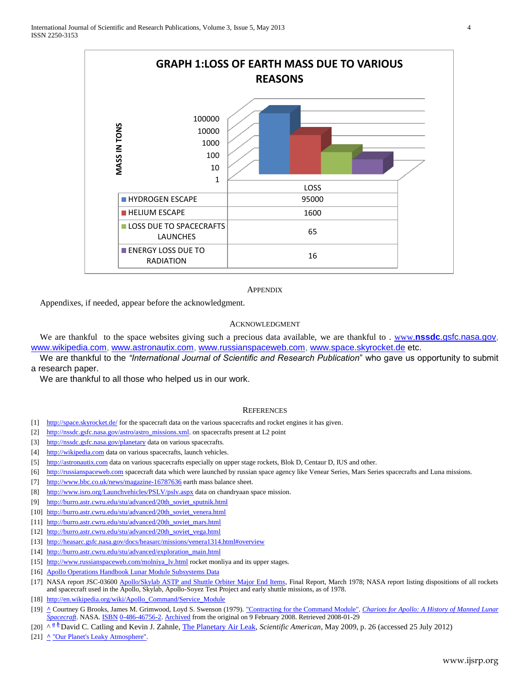

#### **APPENDIX**

Appendixes, if needed, appear before the acknowledgment.

## ACKNOWLEDGMENT

We are thankful to the space websites giving such a precious data available, we are thankful to . www.**nssdc**[.gsfc.nasa.gov,](http://www.nssdc.gsfc.nasa.gov/) [www.wikipedia.com,](http://www.wikipedia.com/) [www.astronautix.com,](http://www.astronautix.com/) [www.russianspaceweb.com,](http://www.russianspaceweb.com/) [www.space.skyrocket.de](http://www.space.skyrocket.de/) etc.

We are thankful to the *"International Journal of Scientific and Research Publication*" who gave us opportunity to submit a research paper.

We are thankful to all those who helped us in our work.

#### **REFERENCES**

- [1] <http://space.skyrocket.de/> for the spacecraft data on the various spacecrafts and rocket engines it has given.
- [2] [http://nssdc.gsfc.nasa.gov/astro/astro\\_missions.xml.](http://nssdc.gsfc.nasa.gov/astro/astro_missions.xml) on spacecrafts present at L2 point
- [3] <http://nssdc.gsfc.nasa.gov/planetary> data on various spacecrafts.
- [4] [http://wikipedia.com](http://wikipedia.com/) data on various spacecrafts, launch vehicles.
- [5] [http://astronautix.com](http://astronautix.com/) data on various spacecrafts especially on upper stage rockets, Blok D, Centaur D, IUS and other.
- [6] [http://russianspaceweb.com](http://russianspaceweb.com/) spacecraft data which were launched by russian space agency like Venear Series, Mars Series spacecrafts and Luna missions.
- [7] <http://www.bbc.co.uk/news/magazine-16787636> earth mass balance sheet.
- [8] <http://www.isro.org/Launchvehicles/PSLV/pslv.aspx> data on chandryaan space mission.
- [9] [http://burro.astr.cwru.edu/stu/advanced/20th\\_soviet\\_sputnik.html](http://burro.astr.cwru.edu/stu/advanced/20th_soviet_sputnik.html)
- [10] [http://burro.astr.cwru.edu/stu/advanced/20th\\_soviet\\_venera.html](http://burro.astr.cwru.edu/stu/advanced/20th_soviet_venera.html)
- [11] [http://burro.astr.cwru.edu/stu/advanced/20th\\_soviet\\_mars.html](http://burro.astr.cwru.edu/stu/advanced/20th_soviet_mars.html)
- [12] [http://burro.astr.cwru.edu/stu/advanced/20th\\_soviet\\_vega.html](http://burro.astr.cwru.edu/stu/advanced/20th_soviet_vega.html)
- [13] <http://heasarc.gsfc.nasa.gov/docs/heasarc/missions/venera1314.html#overview>
- [14] [http://burro.astr.cwru.edu/stu/advanced/exploration\\_main.html](http://burro.astr.cwru.edu/stu/advanced/exploration_main.html)
- [15] [http://www.russianspaceweb.com/molniya\\_lv.html](http://www.russianspaceweb.com/molniya_lv.html) rocket monliya and its upper stages.
- [16] [Apollo Operations Handbook Lunar Module Subsystems Data](http://www.btinternet.com/~ursine/LMhandbook.pdf)
- [17] NASA report JSC-03600 [Apollo/Skylab ASTP and Shuttle Orbiter Major End Items,](http://klabs.org/history/history_docs/mit_docs/1690.pdf) Final Report, March 1978; NASA report listing dispositions of all rockets and spacecraft used in the Apollo, Skylab, Apollo-Soyez Test Project and early shuttle missions, as of 1978.
- [18] [http://en.wikipedia.org/wiki/Apollo\\_Command/Service\\_Module](http://en.wikipedia.org/wiki/Apollo_Command/Service_Module)
- [19] **[^](http://en.wikipedia.org/wiki/Apollo_Command/Service_Module#cite_ref-chariots2-5_1-0)** Courtney G Brooks, James M. Grimwood, Loyd S. Swenson (1979). ["Contracting for the Command Module".](http://www.hq.nasa.gov/office/pao/History/SP-4205/ch2-5.html) *[Chariots for Apollo: A History of Manned Lunar](http://www.hq.nasa.gov/office/pao/History/SP-4205/contents.html)  [Spacecraft](http://www.hq.nasa.gov/office/pao/History/SP-4205/contents.html)*. NASA. [ISBN](http://en.wikipedia.org/wiki/International_Standard_Book_Number) [0-486-46756-2.](http://en.wikipedia.org/wiki/Special:BookSources/0-486-46756-2) [Archived](http://web.archive.org/web/20080209003722/http:/www.hq.nasa.gov/office/pao/History/SP-4205/contents.html) from the original on 9 February 2008. Retrieved 2008-01-29
- [20] [^](http://en.wikipedia.org/wiki/Atmospheric_escape#cite_ref-Catling2009_1-0) *<sup>a</sup> [b](http://en.wikipedia.org/wiki/Atmospheric_escape#cite_ref-Catling2009_1-1)* David C. Catling and Kevin J. Zahnle[, The Planetary Air Leak,](http://faculty.washington.edu/dcatling/Catling2009_SciAm.pdf) *Scientific American,* May 2009, p. 26 (accessed 25 July 2012)
- [21] **[^](http://en.wikipedia.org/wiki/Atmospheric_escape#cite_ref-8)** ["Our Planet's Leaky Atmosphere".](http://www.scientificamerican.com/article.cfm?id=how-planets-lose-their-atmospheres)